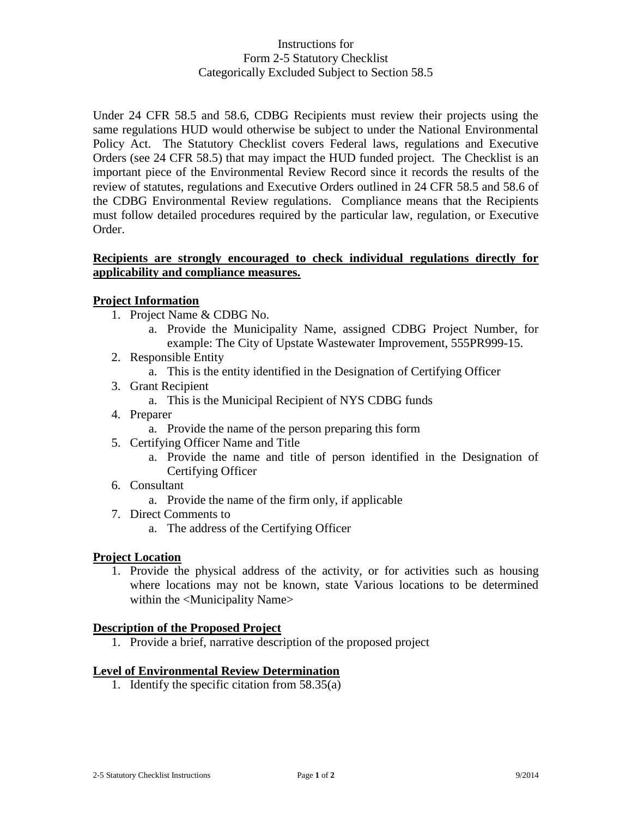# Instructions for Form 2-5 Statutory Checklist Categorically Excluded Subject to Section 58.5

Under 24 CFR 58.5 and 58.6, CDBG Recipients must review their projects using the same regulations HUD would otherwise be subject to under the National Environmental Policy Act. The Statutory Checklist covers Federal laws, regulations and Executive Orders (see 24 CFR 58.5) that may impact the HUD funded project. The Checklist is an important piece of the Environmental Review Record since it records the results of the review of statutes, regulations and Executive Orders outlined in 24 CFR 58.5 and 58.6 of the CDBG Environmental Review regulations. Compliance means that the Recipients must follow detailed procedures required by the particular law, regulation, or Executive Order.

### **Recipients are strongly encouraged to check individual regulations directly for applicability and compliance measures.**

# **Project Information**

- 1. Project Name & CDBG No.
	- a. Provide the Municipality Name, assigned CDBG Project Number, for example: The City of Upstate Wastewater Improvement, 555PR999-15.
- 2. Responsible Entity
	- a. This is the entity identified in the Designation of Certifying Officer
- 3. Grant Recipient
	- a. This is the Municipal Recipient of NYS CDBG funds
- 4. Preparer
	- a. Provide the name of the person preparing this form
- 5. Certifying Officer Name and Title
	- a. Provide the name and title of person identified in the Designation of Certifying Officer
- 6. Consultant
	- a. Provide the name of the firm only, if applicable
- 7. Direct Comments to
	- a. The address of the Certifying Officer

### **Project Location**

1. Provide the physical address of the activity, or for activities such as housing where locations may not be known, state Various locations to be determined within the <Municipality Name>

### **Description of the Proposed Project**

1. Provide a brief, narrative description of the proposed project

### **Level of Environmental Review Determination**

1. Identify the specific citation from 58.35(a)